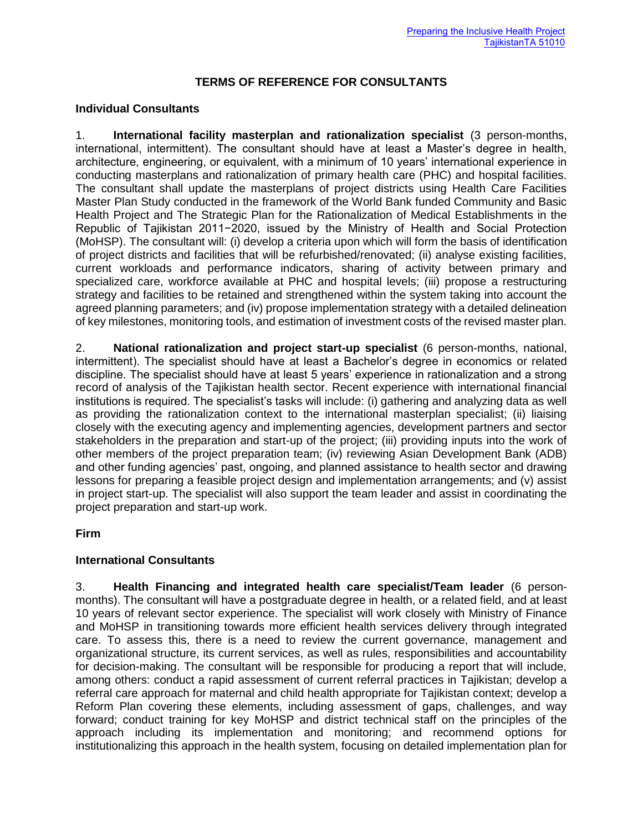## **TERMS OF REFERENCE FOR CONSULTANTS**

## **Individual Consultants**

1. **International facility masterplan and rationalization specialist** (3 person-months, international, intermittent). The consultant should have at least a Master's degree in health, architecture, engineering, or equivalent, with a minimum of 10 years' international experience in conducting masterplans and rationalization of primary health care (PHC) and hospital facilities. The consultant shall update the masterplans of project districts using Health Care Facilities Master Plan Study conducted in the framework of the World Bank funded Community and Basic Health Project and The Strategic Plan for the Rationalization of Medical Establishments in the Republic of Tajikistan 2011−2020, issued by the Ministry of Health and Social Protection (MoHSP). The consultant will: (i) develop a criteria upon which will form the basis of identification of project districts and facilities that will be refurbished/renovated; (ii) analyse existing facilities, current workloads and performance indicators, sharing of activity between primary and specialized care, workforce available at PHC and hospital levels; (iii) propose a restructuring strategy and facilities to be retained and strengthened within the system taking into account the agreed planning parameters; and (iv) propose implementation strategy with a detailed delineation of key milestones, monitoring tools, and estimation of investment costs of the revised master plan.

2. **National rationalization and project start-up specialist** (6 person-months, national, intermittent). The specialist should have at least a Bachelor's degree in economics or related discipline. The specialist should have at least 5 years' experience in rationalization and a strong record of analysis of the Tajikistan health sector. Recent experience with international financial institutions is required. The specialist's tasks will include: (i) gathering and analyzing data as well as providing the rationalization context to the international masterplan specialist; (ii) liaising closely with the executing agency and implementing agencies, development partners and sector stakeholders in the preparation and start-up of the project; (iii) providing inputs into the work of other members of the project preparation team; (iv) reviewing Asian Development Bank (ADB) and other funding agencies' past, ongoing, and planned assistance to health sector and drawing lessons for preparing a feasible project design and implementation arrangements; and (v) assist in project start-up. The specialist will also support the team leader and assist in coordinating the project preparation and start-up work.

**Firm** 

## **International Consultants**

3. **Health Financing and integrated health care specialist/Team leader** (6 personmonths). The consultant will have a postgraduate degree in health, or a related field, and at least 10 years of relevant sector experience. The specialist will work closely with Ministry of Finance and MoHSP in transitioning towards more efficient health services delivery through integrated care. To assess this, there is a need to review the current governance, management and organizational structure, its current services, as well as rules, responsibilities and accountability for decision-making. The consultant will be responsible for producing a report that will include, among others: conduct a rapid assessment of current referral practices in Tajikistan; develop a referral care approach for maternal and child health appropriate for Tajikistan context; develop a Reform Plan covering these elements, including assessment of gaps, challenges, and way forward; conduct training for key MoHSP and district technical staff on the principles of the approach including its implementation and monitoring; and recommend options for institutionalizing this approach in the health system, focusing on detailed implementation plan for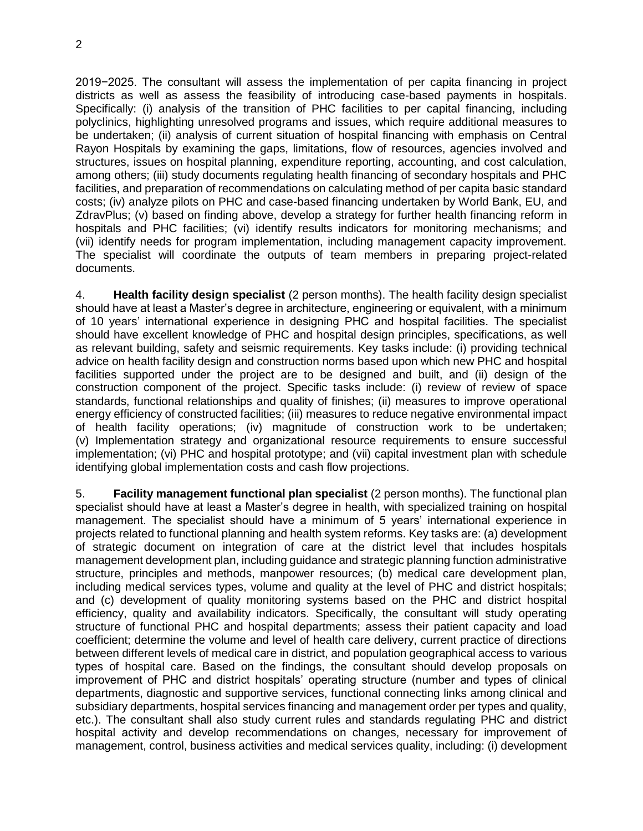2019−2025. The consultant will assess the implementation of per capita financing in project districts as well as assess the feasibility of introducing case-based payments in hospitals. Specifically: (i) analysis of the transition of PHC facilities to per capital financing, including polyclinics, highlighting unresolved programs and issues, which require additional measures to be undertaken; (ii) analysis of current situation of hospital financing with emphasis on Central Rayon Hospitals by examining the gaps, limitations, flow of resources, agencies involved and structures, issues on hospital planning, expenditure reporting, accounting, and cost calculation, among others; (iii) study documents regulating health financing of secondary hospitals and PHC facilities, and preparation of recommendations on calculating method of per capita basic standard costs; (iv) analyze pilots on PHC and case-based financing undertaken by World Bank, EU, and ZdravPlus; (v) based on finding above, develop a strategy for further health financing reform in hospitals and PHC facilities; (vi) identify results indicators for monitoring mechanisms; and (vii) identify needs for program implementation, including management capacity improvement. The specialist will coordinate the outputs of team members in preparing project-related documents.

4. **Health facility design specialist** (2 person months). The health facility design specialist should have at least a Master's degree in architecture, engineering or equivalent, with a minimum of 10 years' international experience in designing PHC and hospital facilities. The specialist should have excellent knowledge of PHC and hospital design principles, specifications, as well as relevant building, safety and seismic requirements. Key tasks include: (i) providing technical advice on health facility design and construction norms based upon which new PHC and hospital facilities supported under the project are to be designed and built, and (ii) design of the construction component of the project. Specific tasks include: (i) review of review of space standards, functional relationships and quality of finishes; (ii) measures to improve operational energy efficiency of constructed facilities; (iii) measures to reduce negative environmental impact of health facility operations; (iv) magnitude of construction work to be undertaken; (v) Implementation strategy and organizational resource requirements to ensure successful implementation; (vi) PHC and hospital prototype; and (vii) capital investment plan with schedule identifying global implementation costs and cash flow projections.

5. **Facility management functional plan specialist** (2 person months). The functional plan specialist should have at least a Master's degree in health, with specialized training on hospital management. The specialist should have a minimum of 5 years' international experience in projects related to functional planning and health system reforms. Key tasks are: (a) development of strategic document on integration of care at the district level that includes hospitals management development plan, including guidance and strategic planning function administrative structure, principles and methods, manpower resources; (b) medical care development plan, including medical services types, volume and quality at the level of PHC and district hospitals; and (c) development of quality monitoring systems based on the PHC and district hospital efficiency, quality and availability indicators. Specifically, the consultant will study operating structure of functional PHC and hospital departments; assess their patient capacity and load coefficient; determine the volume and level of health care delivery, current practice of directions between different levels of medical care in district, and population geographical access to various types of hospital care. Based on the findings, the consultant should develop proposals on improvement of PHC and district hospitals' operating structure (number and types of clinical departments, diagnostic and supportive services, functional connecting links among clinical and subsidiary departments, hospital services financing and management order per types and quality, etc.). The consultant shall also study current rules and standards regulating PHC and district hospital activity and develop recommendations on changes, necessary for improvement of management, control, business activities and medical services quality, including: (i) development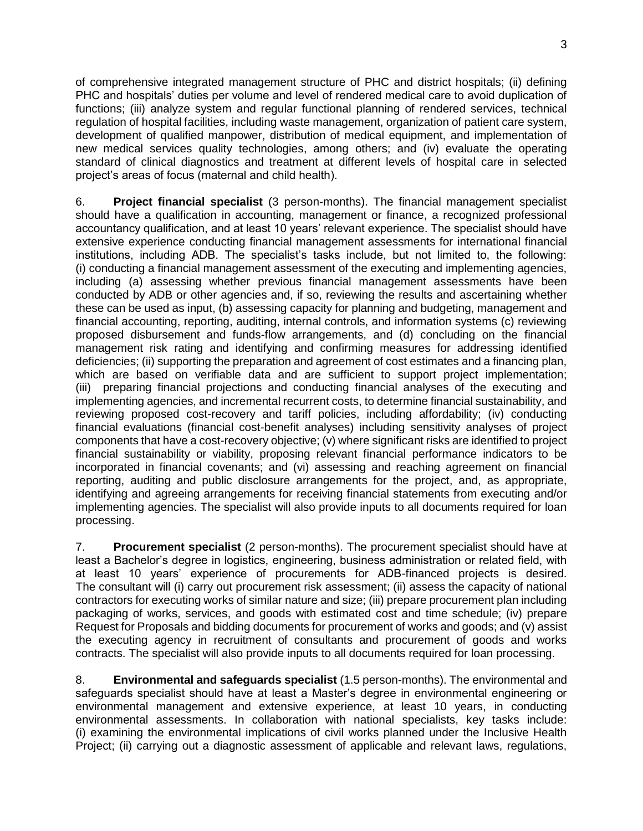of comprehensive integrated management structure of PHC and district hospitals; (ii) defining PHC and hospitals' duties per volume and level of rendered medical care to avoid duplication of functions; (iii) analyze system and regular functional planning of rendered services, technical regulation of hospital facilities, including waste management, organization of patient care system, development of qualified manpower, distribution of medical equipment, and implementation of new medical services quality technologies, among others; and (iv) evaluate the operating standard of clinical diagnostics and treatment at different levels of hospital care in selected project's areas of focus (maternal and child health).

6. **Project financial specialist** (3 person-months). The financial management specialist should have a qualification in accounting, management or finance, a recognized professional accountancy qualification, and at least 10 years' relevant experience. The specialist should have extensive experience conducting financial management assessments for international financial institutions, including ADB. The specialist's tasks include, but not limited to, the following: (i) conducting a financial management assessment of the executing and implementing agencies, including (a) assessing whether previous financial management assessments have been conducted by ADB or other agencies and, if so, reviewing the results and ascertaining whether these can be used as input, (b) assessing capacity for planning and budgeting, management and financial accounting, reporting, auditing, internal controls, and information systems (c) reviewing proposed disbursement and funds-flow arrangements, and (d) concluding on the financial management risk rating and identifying and confirming measures for addressing identified deficiencies; (ii) supporting the preparation and agreement of cost estimates and a financing plan, which are based on verifiable data and are sufficient to support project implementation; (iii) preparing financial projections and conducting financial analyses of the executing and implementing agencies, and incremental recurrent costs, to determine financial sustainability, and reviewing proposed cost-recovery and tariff policies, including affordability; (iv) conducting financial evaluations (financial cost-benefit analyses) including sensitivity analyses of project components that have a cost-recovery objective; (v) where significant risks are identified to project financial sustainability or viability, proposing relevant financial performance indicators to be incorporated in financial covenants; and (vi) assessing and reaching agreement on financial reporting, auditing and public disclosure arrangements for the project, and, as appropriate, identifying and agreeing arrangements for receiving financial statements from executing and/or implementing agencies. The specialist will also provide inputs to all documents required for loan processing.

7. **Procurement specialist** (2 person-months). The procurement specialist should have at least a Bachelor's degree in logistics, engineering, business administration or related field, with at least 10 years' experience of procurements for ADB-financed projects is desired. The consultant will (i) carry out procurement risk assessment; (ii) assess the capacity of national contractors for executing works of similar nature and size; (iii) prepare procurement plan including packaging of works, services, and goods with estimated cost and time schedule; (iv) prepare Request for Proposals and bidding documents for procurement of works and goods; and (v) assist the executing agency in recruitment of consultants and procurement of goods and works contracts. The specialist will also provide inputs to all documents required for loan processing.

8. **Environmental and safeguards specialist** (1.5 person-months). The environmental and safeguards specialist should have at least a Master's degree in environmental engineering or environmental management and extensive experience, at least 10 years, in conducting environmental assessments. In collaboration with national specialists, key tasks include: (i) examining the environmental implications of civil works planned under the Inclusive Health Project; (ii) carrying out a diagnostic assessment of applicable and relevant laws, regulations,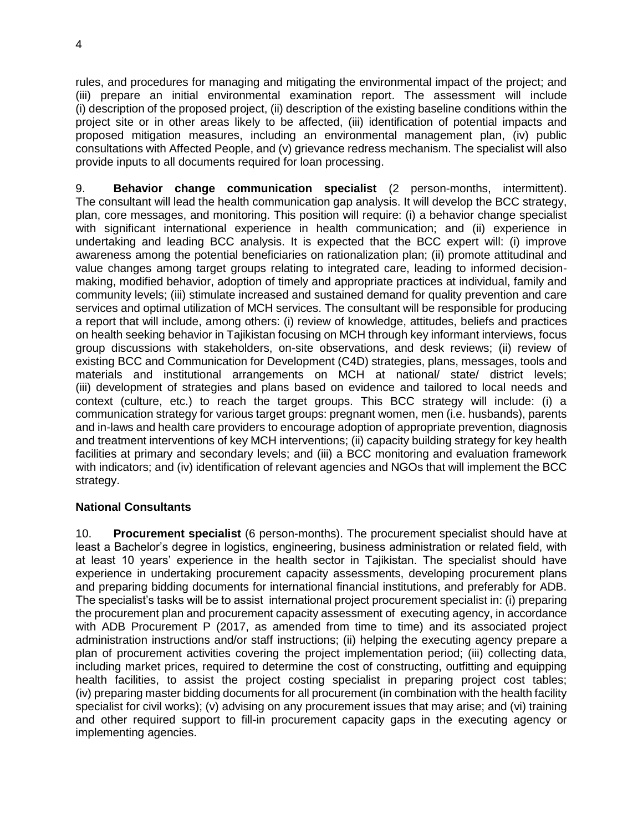rules, and procedures for managing and mitigating the environmental impact of the project; and (iii) prepare an initial environmental examination report. The assessment will include (i) description of the proposed project, (ii) description of the existing baseline conditions within the project site or in other areas likely to be affected, (iii) identification of potential impacts and proposed mitigation measures, including an environmental management plan, (iv) public consultations with Affected People, and (v) grievance redress mechanism. The specialist will also provide inputs to all documents required for loan processing.

9. **Behavior change communication specialist** (2 person-months, intermittent). The consultant will lead the health communication gap analysis. It will develop the BCC strategy, plan, core messages, and monitoring. This position will require: (i) a behavior change specialist with significant international experience in health communication; and (ii) experience in undertaking and leading BCC analysis. It is expected that the BCC expert will: (i) improve awareness among the potential beneficiaries on rationalization plan; (ii) promote attitudinal and value changes among target groups relating to integrated care, leading to informed decisionmaking, modified behavior, adoption of timely and appropriate practices at individual, family and community levels; (iii) stimulate increased and sustained demand for quality prevention and care services and optimal utilization of MCH services. The consultant will be responsible for producing a report that will include, among others: (i) review of knowledge, attitudes, beliefs and practices on health seeking behavior in Tajikistan focusing on MCH through key informant interviews, focus group discussions with stakeholders, on-site observations, and desk reviews; (ii) review of existing BCC and Communication for Development (C4D) strategies, plans, messages, tools and materials and institutional arrangements on MCH at national/ state/ district levels; (iii) development of strategies and plans based on evidence and tailored to local needs and context (culture, etc.) to reach the target groups. This BCC strategy will include: (i) a communication strategy for various target groups: pregnant women, men (i.e. husbands), parents and in-laws and health care providers to encourage adoption of appropriate prevention, diagnosis and treatment interventions of key MCH interventions; (ii) capacity building strategy for key health facilities at primary and secondary levels; and (iii) a BCC monitoring and evaluation framework with indicators; and (iv) identification of relevant agencies and NGOs that will implement the BCC strategy.

## **National Consultants**

10. **Procurement specialist** (6 person-months). The procurement specialist should have at least a Bachelor's degree in logistics, engineering, business administration or related field, with at least 10 years' experience in the health sector in Tajikistan. The specialist should have experience in undertaking procurement capacity assessments, developing procurement plans and preparing bidding documents for international financial institutions, and preferably for ADB. The specialist's tasks will be to assist international project procurement specialist in: (i) preparing the procurement plan and procurement capacity assessment of executing agency, in accordance with ADB Procurement P (2017, as amended from time to time) and its associated project administration instructions and/or staff instructions; (ii) helping the executing agency prepare a plan of procurement activities covering the project implementation period; (iii) collecting data, including market prices, required to determine the cost of constructing, outfitting and equipping health facilities, to assist the project costing specialist in preparing project cost tables; (iv) preparing master bidding documents for all procurement (in combination with the health facility specialist for civil works); (v) advising on any procurement issues that may arise; and (vi) training and other required support to fill-in procurement capacity gaps in the executing agency or implementing agencies.